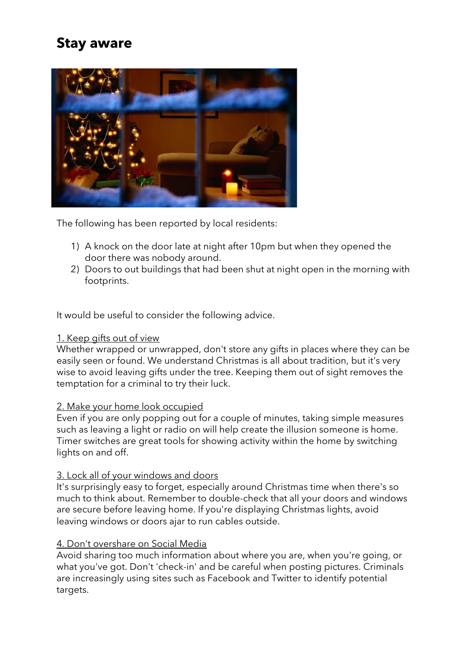# **Stay aware**



The following has been reported by local residents:

- 1) A knock on the door late at night after 10pm but when they opened the door there was nobody around.
- 2) Doors to out buildings that had been shut at night open in the morning with footprints.

It would be useful to consider the following advice.

### 1. Keep gifts out of view

Whether wrapped or unwrapped, don't store any gifts in places where they can be easily seen or found. We understand Christmas is all about tradition, but it's very wise to avoid leaving gifts under the tree. Keeping them out of sight removes the temptation for a criminal to try their luck.

### 2. Make your home look occupied

Even if you are only popping out for a couple of minutes, taking simple measures such as leaving a light or radio on will help create the illusion someone is home. Timer switches are great tools for showing activity within the home by switching lights on and off.

### 3. Lock all of your windows and doors

It's surprisingly easy to forget, especially around Christmas time when there's so much to think about. Remember to double-check that all your doors and windows are secure before leaving home. If you're displaying Christmas lights, avoid leaving windows or doors ajar to run cables outside.

### 4. Don't overshare on Social Media

Avoid sharing too much information about where you are, when you're going, or what you've got. Don't 'check-in' and be careful when posting pictures. Criminals are increasingly using sites such as Facebook and Twitter to identify potential targets.